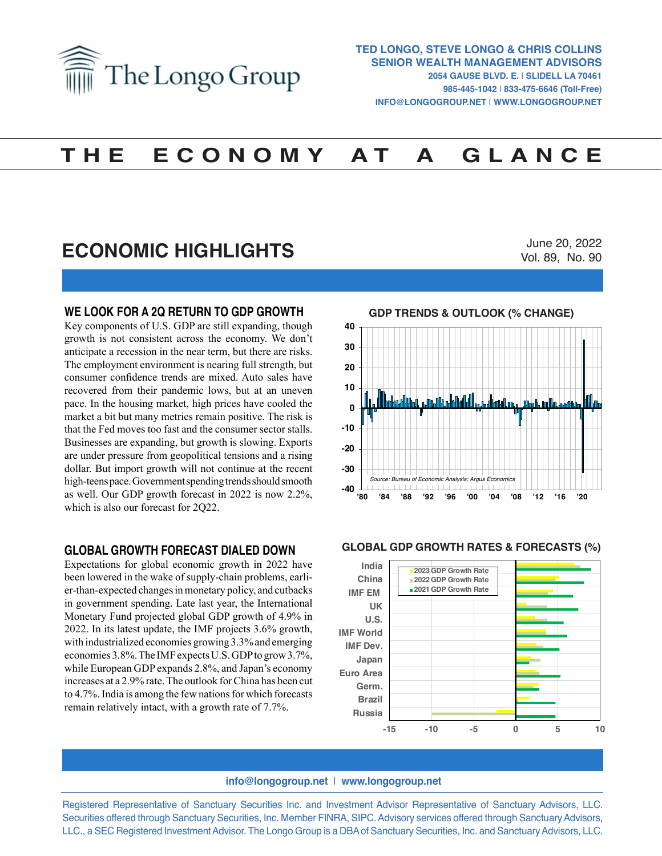

# **T H E E C O N O M Y A T A G L A N C E**

## **ECONOMIC HIGHLIGHTS**

June 20, 2022 Vol. 89, No. 90

#### **WE LOOK FOR A 2Q RETURN TO GDP GROWTH**

Key components of U.S. GDP are still expanding, though growth is not consistent across the economy. We don't anticipate a recession in the near term, but there are risks. The employment environment is nearing full strength, but consumer confidence trends are mixed. Auto sales have recovered from their pandemic lows, but at an uneven pace. In the housing market, high prices have cooled the market a bit but many metrics remain positive. The risk is that the Fed moves too fast and the consumer sector stalls. Businesses are expanding, but growth is slowing. Exports are under pressure from geopolitical tensions and a rising dollar. But import growth will not continue at the recent high-teens pace. Government spending trends should smooth as well. Our GDP growth forecast in 2022 is now 2.2%, which is also our forecast for 2Q22.

#### **GLOBAL GROWTH FORECAST DIALED DOWN**

Expectations for global economic growth in 2022 have been lowered in the wake of supply-chain problems, earlier-than-expected changes in monetary policy, and cutbacks in government spending. Late last year, the International Monetary Fund projected global GDP growth of 4.9% in 2022. In its latest update, the IMF projects 3.6% growth, with industrialized economies growing 3.3% and emerging economies 3.8%. The IMF expects U.S. GDP to grow 3.7%, while European GDP expands 2.8%, and Japan's economy increases at a 2.9% rate. The outlook for China has been cut to 4.7%. India is among the few nations for which forecasts remain relatively intact, with a growth rate of 7.7%.



#### **GLOBAL GDP GROWTH RATES & FORECASTS (%) GLOBAL GDP GROWTH RATES & FORECASTS (%)**



#### **info@longogroup.net** | **www.longogroup.net**

Registered Representative of Sanctuary Securities Inc. and Investment Advisor Representative of Sanctuary Advisors, LLC. Securities offered through Sanctuary Securities, Inc. Member FINRA, SIPC. Advisory services offered through Sanctuary Advisors, LLC., a SEC Registered Investment Advisor. The Longo Group is a DBA of Sanctuary Securities, Inc. and Sanctuary Advisors, LLC.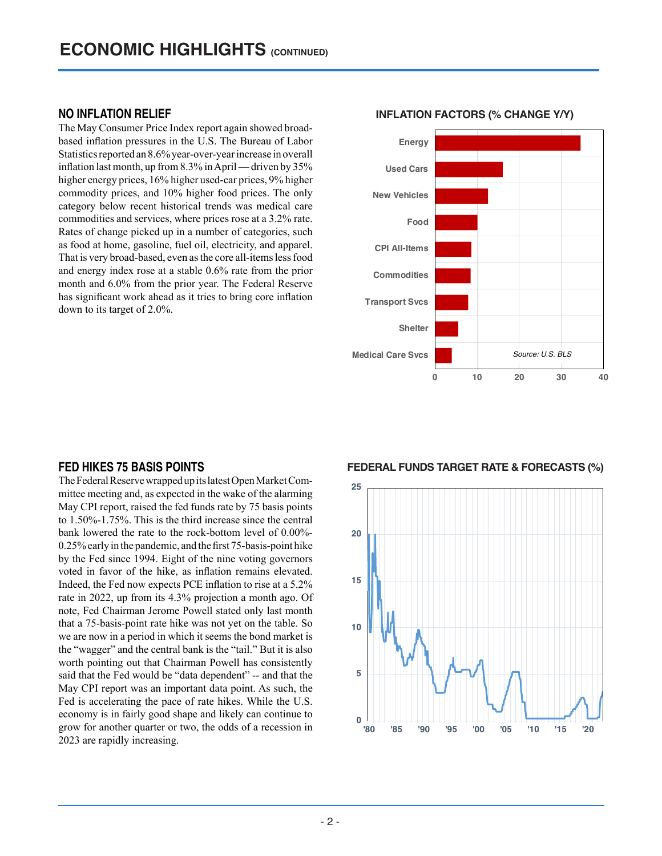### **NO INFLATION RELIEF**

The May Consumer Price Index report again showed broadbased inflation pressures in the U.S. The Bureau of Labor Statistics reported an 8.6% year-over-year increase in overall inflation last month, up from 8.3% in April — driven by 35% higher energy prices, 16% higher used-car prices, 9% higher commodity prices, and 10% higher food prices. The only category below recent historical trends was medical care commodities and services, where prices rose at a 3.2% rate. Rates of change picked up in a number of categories, such as food at home, gasoline, fuel oil, electricity, and apparel. That is very broad-based, even as the core all-items less food and energy index rose at a stable 0.6% rate from the prior month and 6.0% from the prior year. The Federal Reserve has significant work ahead as it tries to bring core inflation down to its target of 2.0%.

### **INFLATION FACTORS (% CHANGE Y/Y) INFLATION FACTORS (% Change Y/Y)**



#### **FED HIKES 75 BASIS POINTS**

The Federal Reserve wrapped up its latest Open Market Committee meeting and, as expected in the wake of the alarming May CPI report, raised the fed funds rate by 75 basis points to 1.50%-1.75%. This is the third increase since the central bank lowered the rate to the rock-bottom level of 0.00%- 0.25% early in the pandemic, and the first 75-basis-point hike by the Fed since 1994. Eight of the nine voting governors voted in favor of the hike, as inflation remains elevated. Indeed, the Fed now expects PCE inflation to rise at a 5.2% rate in 2022, up from its 4.3% projection a month ago. Of note, Fed Chairman Jerome Powell stated only last month that a 75-basis-point rate hike was not yet on the table. So we are now in a period in which it seems the bond market is the "wagger" and the central bank is the "tail." But it is also worth pointing out that Chairman Powell has consistently said that the Fed would be "data dependent" -- and that the May CPI report was an important data point. As such, the Fed is accelerating the pace of rate hikes. While the U.S. economy is in fairly good shape and likely can continue to grow for another quarter or two, the odds of a recession in 2023 are rapidly increasing.

**FEDERAL FUNDS TARGET RATE & FORECASTS (%) FEDERAL FUNDS TARGET RATE & FORECASTS** 

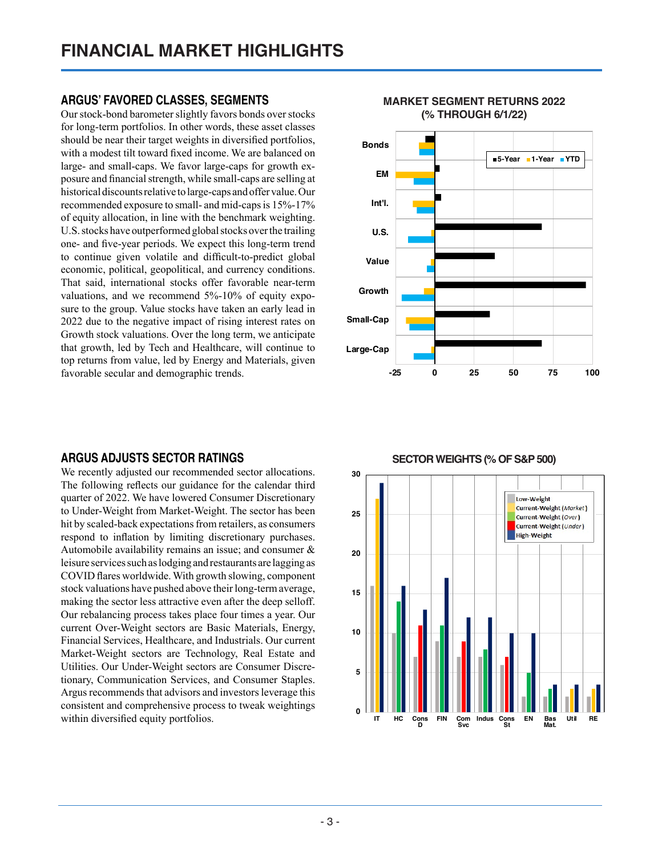## **ARGUS' FAVORED CLASSES, SEGMENTS**

Our stock-bond barometer slightly favors bonds over stocks for long-term portfolios. In other words, these asset classes should be near their target weights in diversified portfolios, with a modest tilt toward fixed income. We are balanced on large- and small-caps. We favor large-caps for growth exposure and financial strength, while small-caps are selling at historical discounts relative to large-caps and offer value. Our recommended exposure to small- and mid-caps is 15%-17% of equity allocation, in line with the benchmark weighting. U.S. stocks have outperformed global stocks over the trailing one- and five-year periods. We expect this long-term trend to continue given volatile and difficult-to-predict global economic, political, geopolitical, and currency conditions. That said, international stocks offer favorable near-term valuations, and we recommend 5%-10% of equity exposure to the group. Value stocks have taken an early lead in 2022 due to the negative impact of rising interest rates on Growth stock valuations. Over the long term, we anticipate that growth, led by Tech and Healthcare, will continue to top returns from value, led by Energy and Materials, given favorable secular and demographic trends.

## **ARGUS ADJUSTS SECTOR RATINGS**

We recently adjusted our recommended sector allocations. The following reflects our guidance for the calendar third quarter of 2022. We have lowered Consumer Discretionary to Under-Weight from Market-Weight. The sector has been hit by scaled-back expectations from retailers, as consumers respond to inflation by limiting discretionary purchases. Automobile availability remains an issue; and consumer & leisure services such as lodging and restaurants are lagging as COVID flares worldwide. With growth slowing, component stock valuations have pushed above their long-term average, making the sector less attractive even after the deep selloff. Our rebalancing process takes place four times a year. Our current Over-Weight sectors are Basic Materials, Energy, Financial Services, Healthcare, and Industrials. Our current Market-Weight sectors are Technology, Real Estate and Utilities. Our Under-Weight sectors are Consumer Discretionary, Communication Services, and Consumer Staples. Argus recommends that advisors and investors leverage this consistent and comprehensive process to tweak weightings within diversified equity portfolios.



# **MARKET SEGMENT RETURNS 2022**